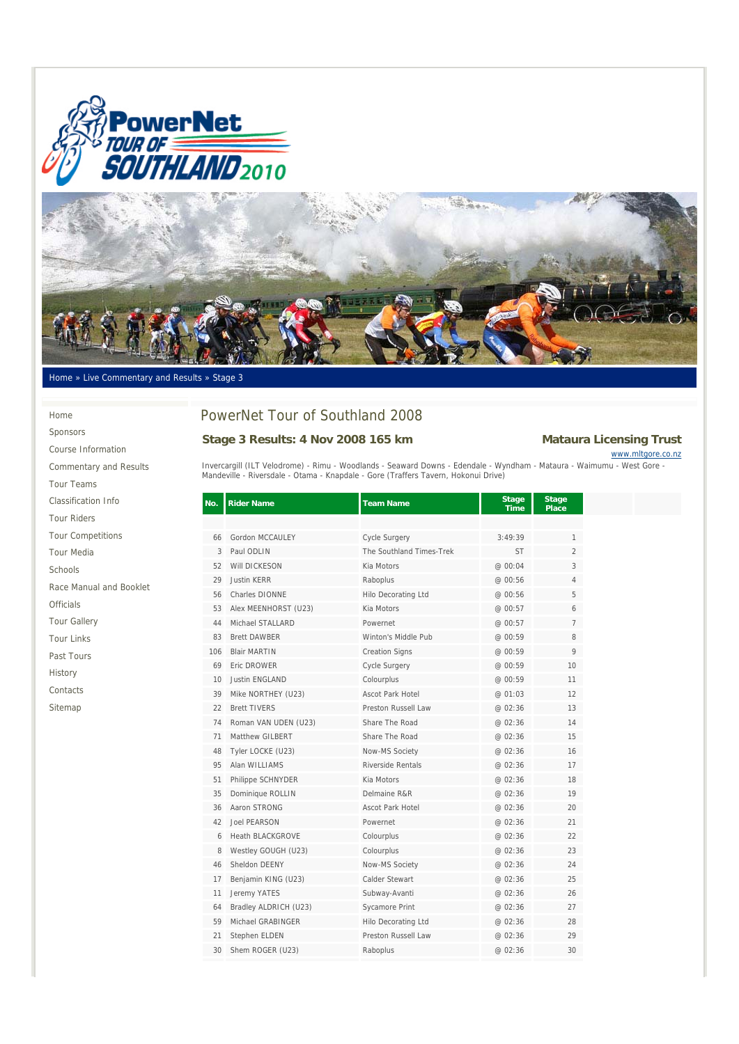



Home » Live Commentary and Results » Stage 3

### Home

Sponsors Course Information Commentary and Results Tour Teams

### Classification Info

| <b>Tour Riders</b>       |
|--------------------------|
| <b>Tour Competitions</b> |

### Tour Media

Schools

Race Manual and Booklet

Officials

Tour Gallery

Tour Links

Past Tours

History

Contacts

Sitemap

# PowerNet Tour of Southland 2008

# Stage 3 Results: 4 Nov 2008 165 km Mataura Licensing Trust

www.mltgore.co.nz

Invercargill (ILT Velodrome) - Rimu - Woodlands - Seaward Downs - Edendale - Wyndham - Mataura - Waimumu - West Gore -<br>Mandeville - Riversdale - Otama - Knapdale - Gore (Traffers Tavern, Hokonui Drive)

| No. | <b>Rider Name</b>       | <b>Team Name</b>           | <b>Stage</b><br><b>Time</b> | <b>Stage</b><br>Place |
|-----|-------------------------|----------------------------|-----------------------------|-----------------------|
|     |                         |                            |                             |                       |
| 66  | Gordon MCCAULEY         | <b>Cycle Surgery</b>       | 3:49:39                     | $\mathbf{1}$          |
| 3   | Paul ODLIN              | The Southland Times-Trek   | <b>ST</b>                   | $\mathfrak{D}$        |
| 52  | Will DICKESON           | Kia Motors                 | @ 00:04                     | 3                     |
| 29  | <b>Justin KERR</b>      | Raboplus                   | @ 00:56                     | $\overline{4}$        |
| 56  | Charles DIONNE          | <b>Hilo Decorating Ltd</b> | @ 00:56                     | 5                     |
| 53  | Alex MEENHORST (U23)    | Kia Motors                 | @ 00:57                     | 6                     |
| 44  | Michael STALLARD        | Powernet                   | @ 00:57                     | $\overline{7}$        |
| 83  | <b>Brett DAWBER</b>     | Winton's Middle Pub        | @ 00:59                     | 8                     |
| 106 | <b>Blair MARTIN</b>     | <b>Creation Signs</b>      | @ 00:59                     | 9                     |
| 69  | <b>Fric DROWER</b>      | Cycle Surgery              | @ 00:59                     | 10                    |
| 10  | <b>Justin ENGLAND</b>   | Colourplus                 | @ 00:59                     | 11                    |
| 39  | Mike NORTHEY (U23)      | <b>Ascot Park Hotel</b>    | @ 01:03                     | 12                    |
| 22  | <b>Brett TIVERS</b>     | Preston Russell Law        | @ 02:36                     | 13                    |
| 74  | Roman VAN UDEN (U23)    | Share The Road             | @ 02:36                     | 14                    |
| 71  | Matthew GILBERT         | Share The Road             | @ 02:36                     | 15                    |
| 48  | Tyler LOCKE (U23)       | Now-MS Society             | @ 02:36                     | 16                    |
| 95  | Alan WILLIAMS           | Riverside Rentals          | @ 02:36                     | 17                    |
| 51  | Philippe SCHNYDER       | Kia Motors                 | @ 02:36                     | 18                    |
| 35  | Dominique ROLLIN        | Delmaine R&R               | @ 02:36                     | 19                    |
| 36  | Aaron STRONG            | <b>Ascot Park Hotel</b>    | @ 02:36                     | 20                    |
| 42  | Joel PFARSON            | Powernet                   | @ 02:36                     | 21                    |
| 6   | <b>Heath BLACKGROVE</b> | Colourplus                 | @ 02:36                     | 22                    |
| 8   | Westley GOUGH (U23)     | Colourplus                 | @ 02:36                     | 23                    |
| 46  | Sheldon DEENY           | Now-MS Society             | @ 02:36                     | 24                    |
| 17  | Benjamin KING (U23)     | Calder Stewart             | @ 02:36                     | 25                    |
| 11  | Jeremy YATES            | Subway-Avanti              | @ 02:36                     | 26                    |
| 64  | Bradley ALDRICH (U23)   | Sycamore Print             | @ 02:36                     | 27                    |
| 59  | Michael GRABINGER       | <b>Hilo Decorating Ltd</b> | @ 02:36                     | 28                    |
| 21  | Stephen ELDEN           | Preston Russell Law        | @ 02:36                     | 29                    |
| 30  | Shem ROGER (U23)        | Raboplus                   | @ 02:36                     | 30                    |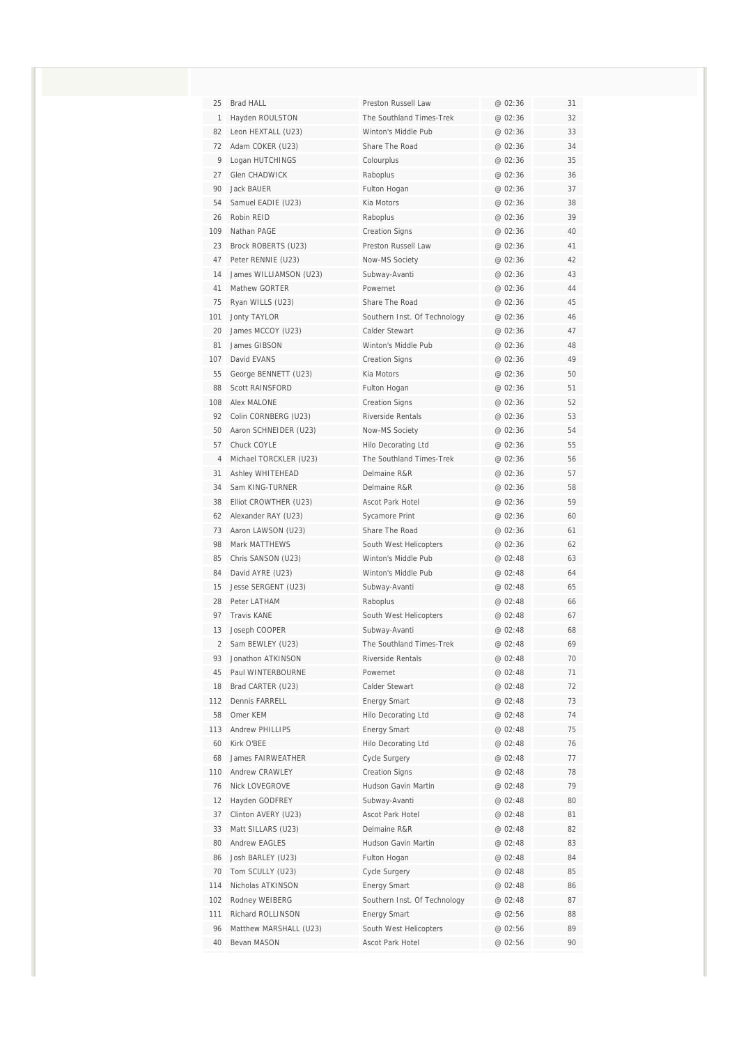| 25             | Brad HALL                                    | Preston Russell Law                           | @ 02:36            | 31       |
|----------------|----------------------------------------------|-----------------------------------------------|--------------------|----------|
| $\mathbf{1}$   | Hayden ROULSTON                              | The Southland Times-Trek                      | @ 02:36            | 32       |
| 82             | Leon HEXTALL (U23)                           | Winton's Middle Pub                           | @ 02:36            | 33       |
| 72             | Adam COKER (U23)                             | Share The Road                                | @ 02:36            | 34       |
| 9              | Logan HUTCHINGS                              | Colourplus                                    | @ 02:36            | 35       |
| 27             | <b>Glen CHADWICK</b>                         | Raboplus                                      | @ 02:36            | 36       |
| 90             | <b>Jack BAUER</b>                            | Fulton Hogan                                  | @ 02:36            | 37       |
| 54             | Samuel EADIE (U23)                           | Kia Motors                                    | @ 02:36            | 38       |
| 26             | Robin RFID                                   | Raboplus                                      | @ 02:36            | 39       |
| 109            | Nathan PAGE                                  | <b>Creation Signs</b>                         | @ 02:36            | 40       |
| 23             | Brock ROBERTS (U23)                          | Preston Russell Law                           | @ 02:36            | 41       |
| 47             | Peter RENNIE (U23)                           | Now-MS Society                                | @ 02:36            | 42       |
| 14             | James WILLIAMSON (U23)                       | Subway-Avanti                                 | @ 02:36            | 43       |
| 41             | Mathew GORTER                                | Powernet                                      | @ 02:36            | 44       |
| 75             | Ryan WILLS (U23)                             | Share The Road                                | @ 02:36            | 45       |
| 101            | Jonty TAYLOR                                 | Southern Inst. Of Technology                  | @ 02:36            | 46       |
| 20             | James MCCOY (U23)                            | Calder Stewart                                | @ 02:36            | 47       |
| 81             | James GIBSON                                 | Winton's Middle Pub                           | @ 02:36            | 48       |
| 107            | David EVANS                                  | <b>Creation Signs</b>                         | @ 02:36            | 49       |
| 55             | George BENNETT (U23)                         | Kia Motors                                    | @ 02:36            | 50       |
| 88             | Scott RAINSFORD                              | Fulton Hogan                                  | @ 02:36            | 51       |
| 108            | <b>Alex MALONE</b>                           | <b>Creation Signs</b>                         | @ 02:36            | 52       |
| 92             | Colin CORNBERG (U23)                         | Riverside Rentals                             | @ 02:36            | 53       |
| 50             | Aaron SCHNEIDER (U23)                        | Now-MS Society                                | @ 02:36            | 54       |
| 57             | Chuck COYLE                                  | <b>Hilo Decorating Ltd</b>                    | @ 02:36            | 55       |
| 4              | Michael TORCKLER (U23)                       | The Southland Times-Trek                      | @ 02:36            | 56       |
| 31             | Ashley WHITEHEAD                             | Delmaine R&R                                  | @ 02:36            | 57       |
| 34             | Sam KING-TURNER                              | Delmaine R&R                                  | @ 02:36            | 58       |
| 38<br>62       | Elliot CROWTHER (U23)<br>Alexander RAY (U23) | Ascot Park Hotel                              | @ 02:36<br>@ 02:36 | 59<br>60 |
| 73             |                                              | Sycamore Print<br>Share The Road              | @ 02:36            | 61       |
| 98             | Aaron LAWSON (U23)<br><b>Mark MATTHEWS</b>   |                                               |                    |          |
| 85             | Chris SANSON (U23)                           | South West Helicopters<br>Winton's Middle Pub | @ 02:36<br>@ 02:48 | 62<br>63 |
| 84             | David AYRE (U23)                             | Winton's Middle Pub                           | @ 02:48            | 64       |
| 15             | Jesse SERGENT (U23)                          | Subway-Avanti                                 | @ 02:48            | 65       |
| 28             | Peter LATHAM                                 | Raboplus                                      | @ 02:48            | 66       |
| 97             | <b>Travis KANF</b>                           | South West Helicopters                        | @ 02:48            | 67       |
| 13             | Joseph COOPER                                | Subway-Avanti                                 | @ 02:48            | 68       |
| $\overline{2}$ | Sam BEWLEY (U23)                             | The Southland Times-Trek                      | @ 02:48            | 69       |
| 93             | Jonathon ATKINSON                            | Riverside Rentals                             | @ 02:48            | 70       |
| 45             | Paul WINTERBOURNE                            | Powernet                                      | @ 02:48            | 71       |
| 18             | Brad CARTER (U23)                            | Calder Stewart                                | @ 02:48            | 72       |
| 112            | Dennis FARRELL                               | Energy Smart                                  | @ 02:48            | 73       |
| 58             | Omer KEM                                     | <b>Hilo Decorating Ltd</b>                    | @ 02:48            | 74       |
| 113            | Andrew PHILLIPS                              | <b>Energy Smart</b>                           | @ 02:48            | 75       |
| 60             | Kirk O'BEE                                   | <b>Hilo Decorating Ltd</b>                    | @ 02:48            | 76       |
| 68             | <b>James FAIRWEATHER</b>                     | Cycle Surgery                                 | @ 02:48            | 77       |
| 110            | Andrew CRAWLEY                               | <b>Creation Signs</b>                         | @ 02:48            | 78       |
| 76             | Nick LOVEGROVE                               | Hudson Gavin Martin                           | @ 02:48            | 79       |
| 12             | Hayden GODFREY                               | Subway-Avanti                                 | @ 02:48            | 80       |
| 37             | Clinton AVERY (U23)                          | Ascot Park Hotel                              | @ 02:48            | 81       |
| 33             | Matt SILLARS (U23)                           | Delmaine R&R                                  | @ 02:48            | 82       |
| 80             | Andrew EAGLES                                | Hudson Gavin Martin                           | @ 02:48            | 83       |
| 86             | Josh BARLEY (U23)                            | Fulton Hogan                                  | @ 02:48            | 84       |
| 70             | Tom SCULLY (U23)                             | Cycle Surgery                                 | @ 02:48            | 85       |
| 114            | Nicholas ATKINSON                            | <b>Energy Smart</b>                           | @ 02:48            | 86       |
| 102            | Rodney WEIBERG                               | Southern Inst. Of Technology                  | @ 02:48            | 87       |
| 111            | Richard ROLLINSON                            | <b>Energy Smart</b>                           | @ 02:56            | 88       |
| 96             | Matthew MARSHALL (U23)                       | South West Helicopters                        | @ 02:56            | 89       |
| 40             | Bevan MASON                                  | Ascot Park Hotel                              | @ 02:56            | 90       |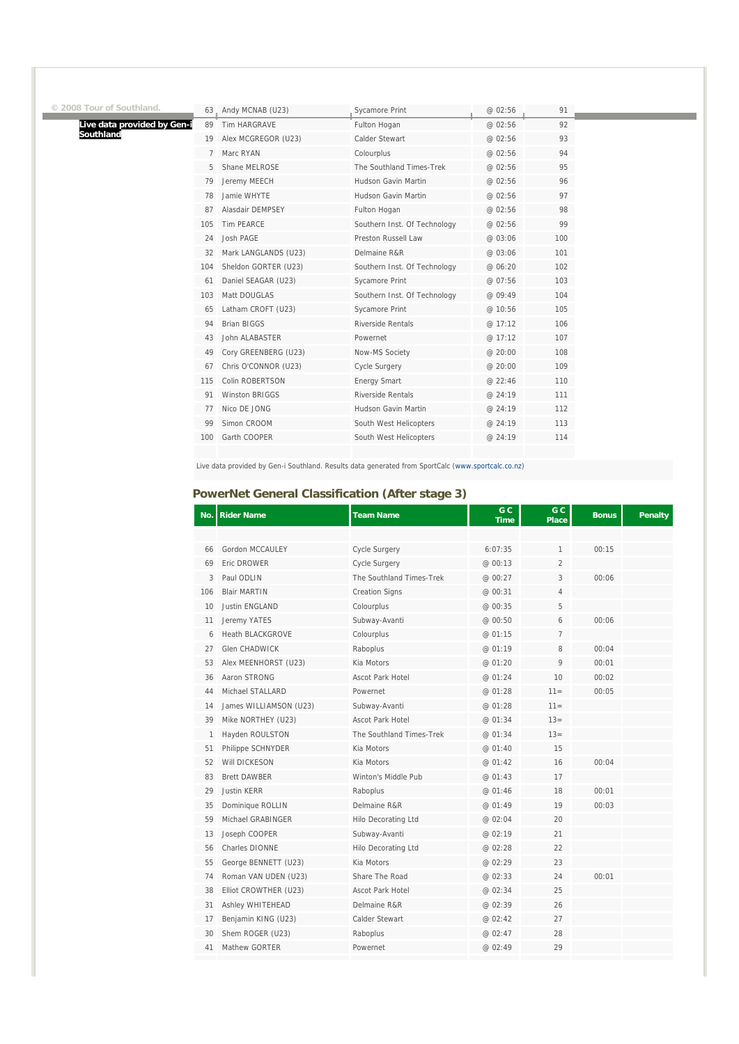| 3 Tour of Southland.        |     | 63. Andy MCNAB (U23)  | <b>Sycamore Print</b>        | @ 02:56 | 91  |
|-----------------------------|-----|-----------------------|------------------------------|---------|-----|
| Live data provided by Gen-i | 89  | Tim HARGRAVE          | Fulton Hogan                 | @ 02:56 | 92  |
| Southland                   | 19  | Alex MCGREGOR (U23)   | Calder Stewart               | @ 02:56 | 93  |
|                             |     | Marc RYAN             | Colourplus                   | @ 02:56 | 94  |
|                             |     | Shane MELROSE         | The Southland Times-Trek     | @ 02:56 | 95  |
|                             | 79  | Jeremy MEECH          | Hudson Gavin Martin          | @ 02:56 | 96  |
|                             | 78  | Jamie WHYTE           | Hudson Gavin Martin          | @ 02:56 | 97  |
|                             | 87  | Alasdair DEMPSEY      | Fulton Hogan                 | @ 02:56 | 98  |
|                             | 105 | Tim PEARCE            | Southern Inst. Of Technology | @ 02:56 | 99  |
|                             | 24  | Josh PAGE             | Preston Russell Law          | @ 03:06 | 100 |
|                             | 32  | Mark LANGLANDS (U23)  | Delmaine R&R                 | @ 03:06 | 101 |
|                             | 104 | Sheldon GORTER (U23)  | Southern Inst. Of Technology | @ 06:20 | 102 |
|                             | 61  | Daniel SEAGAR (U23)   | <b>Sycamore Print</b>        | @ 07:56 | 103 |
|                             | 103 | Matt DOUGLAS          | Southern Inst. Of Technology | @ 09:49 | 104 |
|                             | 65  | Latham CROFT (U23)    | Sycamore Print               | @ 10:56 | 105 |
|                             | 94  | <b>Brian BIGGS</b>    | Riverside Rentals            | @ 17:12 | 106 |
|                             | 43  | John ALABASTER        | Powernet                     | @ 17:12 | 107 |
|                             | 49  | Cory GREENBERG (U23)  | Now-MS Society               | @ 20:00 | 108 |
|                             | 67  | Chris O'CONNOR (U23)  | <b>Cycle Surgery</b>         | @ 20:00 | 109 |
|                             | 115 | Colin ROBERTSON       | <b>Energy Smart</b>          | @ 22:46 | 110 |
|                             | 91  | <b>Winston BRIGGS</b> | <b>Riverside Rentals</b>     | @ 24:19 | 111 |
|                             | 77  | Nico DE JONG          | Hudson Gavin Martin          | @ 24:19 | 112 |
|                             | 99  | Simon CROOM           | South West Helicopters       | @ 24:19 | 113 |
|                             | 100 | Garth COOPER          | South West Helicopters       | @ 24:19 | 114 |
|                             |     |                       |                              |         |     |

Live data provided by Gen-i Southland. Results data generated from SportCalc (www.sportcalc.co.nz)

## **PowerNet General Classification (After stage 3)**

**© 2008 Tour of Southland.** 

| No. | <b>Rider Name</b>      | <b>Team Name</b>           | G C<br><b>Time</b> | G <sub>C</sub><br><b>Place</b> | <b>Bonus</b> | Penalty |
|-----|------------------------|----------------------------|--------------------|--------------------------------|--------------|---------|
|     |                        |                            |                    |                                |              |         |
| 66  | Gordon MCCAULEY        | <b>Cycle Surgery</b>       | 6:07:35            | $\mathbf{1}$                   | 00:15        |         |
| 69  | Eric DROWER            | <b>Cycle Surgery</b>       | @ 00:13            | 2                              |              |         |
| 3   | Paul ODLIN             | The Southland Times-Trek   | @ 00:27            | 3                              | 00:06        |         |
| 106 | <b>Blair MARTIN</b>    | <b>Creation Signs</b>      | @ 00:31            | 4                              |              |         |
| 10  | <b>Justin ENGLAND</b>  | Colourplus                 | @ 00:35            | 5                              |              |         |
| 11  | Jeremy YATES           | Subway-Avanti              | @ 00:50            | 6                              | 00:06        |         |
| 6   | Heath BLACKGROVE       | Colourplus                 | @ 01:15            | 7                              |              |         |
| 27  | <b>Glen CHADWICK</b>   | Raboplus                   | @ 01:19            | 8                              | 00:04        |         |
| 53  | Alex MEENHORST (U23)   | Kia Motors                 | @ 01:20            | 9                              | 00:01        |         |
| 36  | Aaron STRONG           | <b>Ascot Park Hotel</b>    | @ 01:24            | 10                             | 00:02        |         |
| 44  | Michael STALLARD       | Powernet                   | @ 01:28            | $11 =$                         | 00:05        |         |
| 14  | James WILLIAMSON (U23) | Subway-Avanti              | @ 01:28            | $11 =$                         |              |         |
| 39  | Mike NORTHEY (U23)     | Ascot Park Hotel           | @ 01:34            | $13=$                          |              |         |
| 1   | Hayden ROULSTON        | The Southland Times-Trek   | @ 01:34            | $13=$                          |              |         |
| 51  | Philippe SCHNYDER      | Kia Motors                 | @ 01:40            | 15                             |              |         |
| 52  | Will DICKESON          | Kia Motors                 | @ 01:42            | 16                             | 00:04        |         |
| 83  | <b>Brett DAWBER</b>    | Winton's Middle Pub        | @ 01:43            | 17                             |              |         |
| 29  | <b>Justin KERR</b>     | Raboplus                   | @ 01:46            | 18                             | 00:01        |         |
| 35  | Dominique ROLLIN       | Delmaine R&R               | @ 01:49            | 19                             | 00:03        |         |
| 59  | Michael GRABINGER      | <b>Hilo Decorating Ltd</b> | @ 02:04            | 20                             |              |         |
| 13  | Joseph COOPER          | Subway-Avanti              | @ 02:19            | 21                             |              |         |
| 56  | <b>Charles DIONNE</b>  | Hilo Decorating Ltd        | @ 02:28            | 22                             |              |         |
| 55  | George BENNETT (U23)   | Kia Motors                 | @ 02:29            | 23                             |              |         |
| 74  | Roman VAN UDEN (U23)   | Share The Road             | @ 02:33            | 24                             | 00:01        |         |
| 38  | Elliot CROWTHER (U23)  | Ascot Park Hotel           | @ 02:34            | 25                             |              |         |
| 31  | Ashley WHITEHEAD       | Delmaine R&R               | @ 02:39            | 26                             |              |         |
| 17  | Benjamin KING (U23)    | Calder Stewart             | @ 02:42            | 27                             |              |         |
| 30  | Shem ROGER (U23)       | Raboplus                   | @ 02:47            | 28                             |              |         |
| 41  | Mathew GORTER          | Powernet                   | @ 02:49            | 29                             |              |         |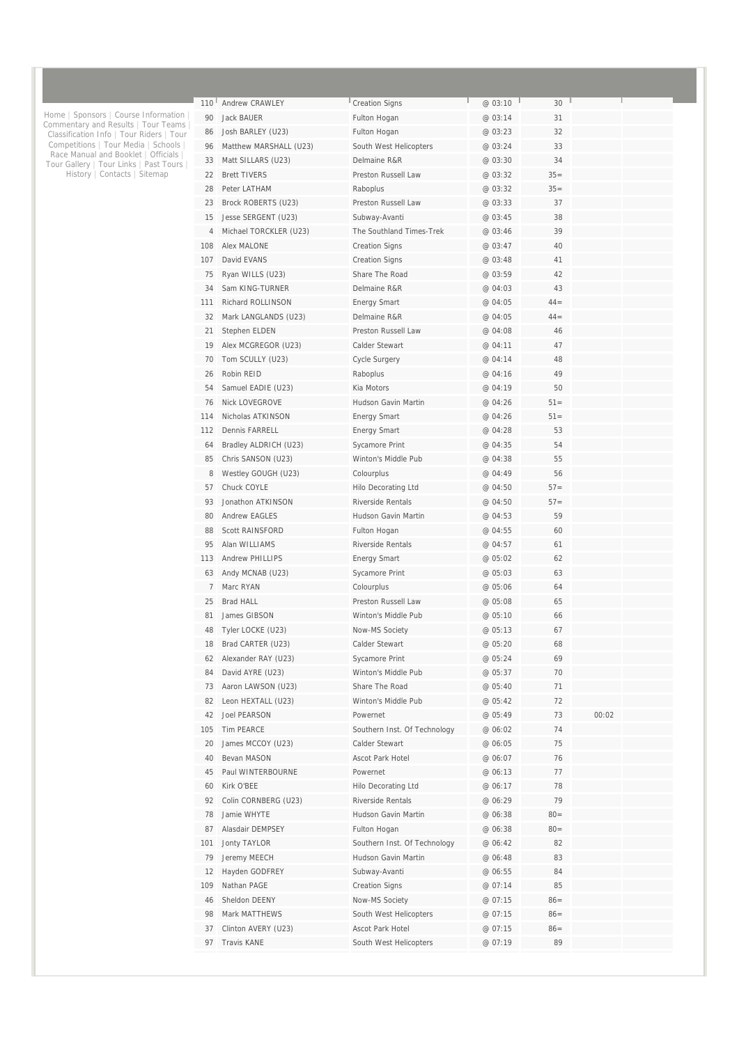| 110 | Andrew CRAWLEY         | <b>Creation Signs</b>        | @ 03:10 | 30     |       |  |
|-----|------------------------|------------------------------|---------|--------|-------|--|
| 90  | Jack BAUER             | Fulton Hogan                 | @ 03:14 | 31     |       |  |
| 86  | Josh BARLEY (U23)      | Fulton Hogan                 | @ 03:23 | 32     |       |  |
|     |                        |                              |         |        |       |  |
| 96  | Matthew MARSHALL (U23) | South West Helicopters       | @ 03:24 | 33     |       |  |
| 33  | Matt SILLARS (U23)     | Delmaine R&R                 | @ 03:30 | 34     |       |  |
| 22  | <b>Brett TIVERS</b>    | Preston Russell Law          | @ 03:32 | $35=$  |       |  |
| 28  | Peter LATHAM           | Raboplus                     | @ 03:32 | $35=$  |       |  |
| 23  | Brock ROBERTS (U23)    | Preston Russell Law          | @ 03:33 | 37     |       |  |
| 15  | Jesse SERGENT (U23)    | Subway-Avanti                | @ 03:45 | 38     |       |  |
| 4   | Michael TORCKLER (U23) | The Southland Times-Trek     | @ 03:46 | 39     |       |  |
| 108 | Alex MALONE            | <b>Creation Signs</b>        | @ 03:47 | 40     |       |  |
| 107 | David EVANS            | <b>Creation Signs</b>        | @ 03:48 | 41     |       |  |
| 75  | Ryan WILLS (U23)       | Share The Road               | @ 03:59 | 42     |       |  |
| 34  | Sam KING-TURNER        | Delmaine R&R                 | @ 04:03 | 43     |       |  |
| 111 | Richard ROLLINSON      | <b>Energy Smart</b>          | @ 04:05 | $44 =$ |       |  |
| 32  | Mark LANGLANDS (U23)   | Delmaine R&R                 | @ 04:05 | $44 =$ |       |  |
|     |                        |                              |         |        |       |  |
| 21  | Stephen ELDEN          | Preston Russell Law          | @ 04:08 | 46     |       |  |
| 19  | Alex MCGREGOR (U23)    | Calder Stewart               | @ 04:11 | 47     |       |  |
| 70  | Tom SCULLY (U23)       | <b>Cycle Surgery</b>         | @ 04:14 | 48     |       |  |
| 26  | Robin REID             | Raboplus                     | @ 04:16 | 49     |       |  |
| 54  | Samuel EADIE (U23)     | Kia Motors                   | @ 04:19 | 50     |       |  |
| 76  | <b>Nick LOVEGROVE</b>  | Hudson Gavin Martin          | @ 04:26 | $51 =$ |       |  |
| 114 | Nicholas ATKINSON      | <b>Energy Smart</b>          | @ 04:26 | $51 =$ |       |  |
| 112 | Dennis FARRELL         | <b>Energy Smart</b>          | @ 04:28 | 53     |       |  |
| 64  | Bradley ALDRICH (U23)  | Sycamore Print               | @ 04:35 | 54     |       |  |
| 85  | Chris SANSON (U23)     | Winton's Middle Pub          | @ 04:38 | 55     |       |  |
| 8   | Westley GOUGH (U23)    | Colourplus                   | @ 04:49 | 56     |       |  |
| 57  | Chuck COYLE            | Hilo Decorating Ltd          | @ 04:50 | $57 =$ |       |  |
| 93  | Jonathon ATKINSON      | <b>Riverside Rentals</b>     | @ 04:50 | $57 =$ |       |  |
| 80  | <b>Andrew EAGLES</b>   | Hudson Gavin Martin          | @ 04:53 | 59     |       |  |
| 88  | <b>Scott RAINSFORD</b> | Fulton Hogan                 | @ 04:55 | 60     |       |  |
|     | Alan WILLIAMS          |                              |         |        |       |  |
| 95  |                        | <b>Riverside Rentals</b>     | @ 04:57 | 61     |       |  |
| 113 | <b>Andrew PHILLIPS</b> | <b>Energy Smart</b>          | @ 05:02 | 62     |       |  |
| 63  | Andy MCNAB (U23)       | Sycamore Print               | @ 05:03 | 63     |       |  |
| 7   | Marc RYAN              | Colourplus                   | @ 05:06 | 64     |       |  |
| 25  | <b>Brad HALL</b>       | Preston Russell Law          | @ 05:08 | 65     |       |  |
| 81  | James GIBSON           | Winton's Middle Pub          | @ 05:10 | 66     |       |  |
| 48  | Tyler LOCKE (U23)      | Now-MS Society               | @ 05:13 | 67     |       |  |
| 18  | Brad CARTER (U23)      | Calder Stewart               | @ 05:20 | 68     |       |  |
| 62  | Alexander RAY (U23)    | Sycamore Print               | @ 05:24 | 69     |       |  |
| 84  | David AYRE (U23)       | Winton's Middle Pub          | @ 05:37 | 70     |       |  |
| 73  | Aaron LAWSON (U23)     | Share The Road               | @ 05:40 | 71     |       |  |
| 82  | Leon HEXTALL (U23)     | Winton's Middle Pub          | @ 05:42 | 72     |       |  |
| 42  | Joel PEARSON           | Powernet                     | @ 05:49 | 73     | 00:02 |  |
| 105 | Tim PEARCE             | Southern Inst. Of Technology | @ 06:02 | 74     |       |  |
| 20  | James MCCOY (U23)      | Calder Stewart               | @ 06:05 | 75     |       |  |
| 40  | Bevan MASON            | Ascot Park Hotel             | @ 06:07 | 76     |       |  |
| 45  | Paul WINTERBOURNE      | Powernet                     | @ 06:13 | 77     |       |  |
|     |                        |                              |         |        |       |  |
| 60  | Kirk O'BEE             | Hilo Decorating Ltd          | @ 06:17 | 78     |       |  |
| 92  | Colin CORNBERG (U23)   | Riverside Rentals            | @ 06:29 | 79     |       |  |
| 78  | Jamie WHYTE            | Hudson Gavin Martin          | @ 06:38 | $80 =$ |       |  |
| 87  | Alasdair DEMPSEY       | Fulton Hogan                 | @ 06:38 | $80 =$ |       |  |
| 101 | <b>Jonty TAYLOR</b>    | Southern Inst. Of Technology | @ 06:42 | 82     |       |  |
| 79  | Jeremy MEECH           | Hudson Gavin Martin          | @ 06:48 | 83     |       |  |
| 12  | Hayden GODFREY         | Subway-Avanti                | @ 06:55 | 84     |       |  |
| 109 | Nathan PAGE            | <b>Creation Signs</b>        | @ 07:14 | 85     |       |  |
| 46  | Sheldon DEENY          | Now-MS Society               | @ 07:15 | $86=$  |       |  |
| 98  | Mark MATTHEWS          | South West Helicopters       | @ 07:15 | $86=$  |       |  |
|     |                        |                              |         | $86=$  |       |  |
| 37  | Clinton AVERY (U23)    | Ascot Park Hotel             | @ 07:15 |        |       |  |

Home | Sponsors | Course Information | Commentary and Results | Tour Teams | Classification Info | Tour Riders | Tour Competitions | Tour Media | Schools | Race Manual and Booklet | Officials | Tour Gallery | Tour Links | Past Tours | History | Contacts | Sitemap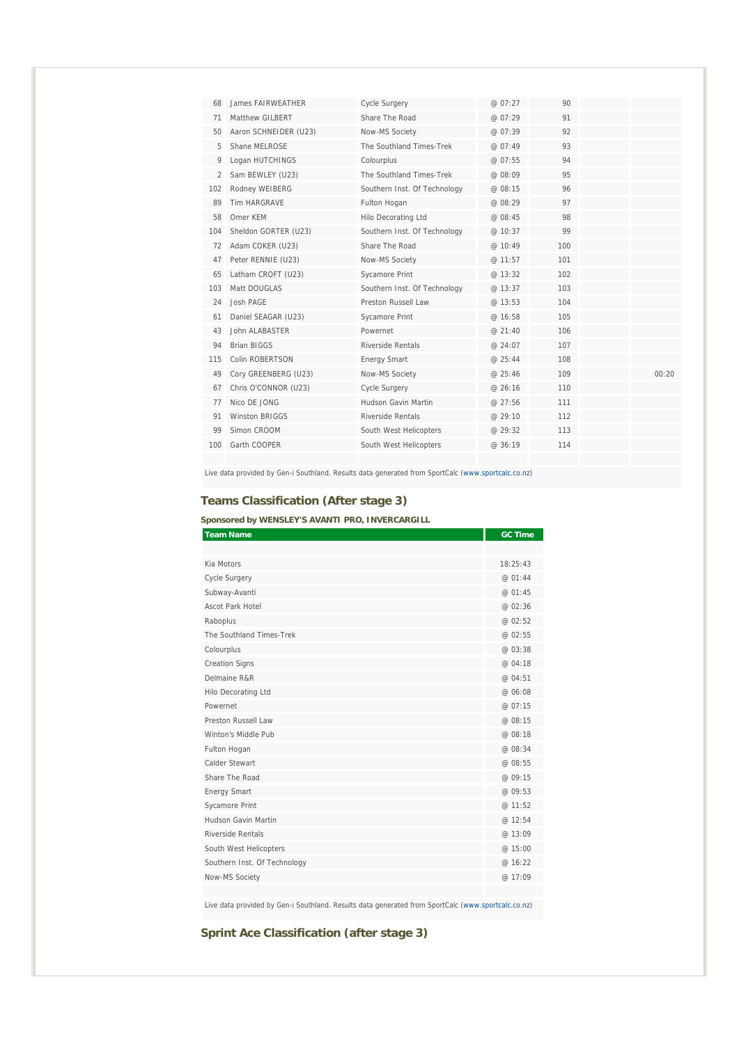| 68  | James FAIRWFATHER     | <b>Cycle Surgery</b>         | @ 07:27 | 90  |       |
|-----|-----------------------|------------------------------|---------|-----|-------|
| 71  | Matthew GILBERT       | Share The Road               | @ 07:29 | 91  |       |
| 50  | Aaron SCHNEIDER (U23) | Now-MS Society               | @ 07:39 | 92  |       |
| 5   | Shane MELROSE         | The Southland Times-Trek     | @ 07:49 | 93  |       |
| 9   | Logan HUTCHINGS       | Colourplus                   | @ 07:55 | 94  |       |
| 2   | Sam BEWLEY (U23)      | The Southland Times-Trek     | @ 08:09 | 95  |       |
| 102 | Rodney WEIBERG        | Southern Inst. Of Technology | @ 08:15 | 96  |       |
| 89  | <b>Tim HARGRAVE</b>   | Fulton Hogan                 | @ 08:29 | 97  |       |
| 58  | Omer KFM              | <b>Hilo Decorating Ltd</b>   | @ 08:45 | 98  |       |
| 104 | Sheldon GORTER (U23)  | Southern Inst. Of Technology | @ 10:37 | 99  |       |
| 72  | Adam COKER (U23)      | Share The Road               | @ 10:49 | 100 |       |
| 47  | Peter RENNIE (U23)    | Now-MS Society               | @ 11:57 | 101 |       |
| 65  | Latham CROFT (U23)    | Sycamore Print               | @ 13:32 | 102 |       |
| 103 | Matt DOUGLAS          | Southern Inst. Of Technology | @ 13:37 | 103 |       |
| 24  | Josh PAGE             | Preston Russell Law          | @ 13:53 | 104 |       |
| 61  | Daniel SEAGAR (U23)   | Sycamore Print               | @ 16:58 | 105 |       |
| 43  | John ALABASTER        | Powernet                     | @21:40  | 106 |       |
| 94  | <b>Brian BIGGS</b>    | Riverside Rentals            | @ 24:07 | 107 |       |
| 115 | Colin ROBERTSON       | <b>Energy Smart</b>          | @ 25:44 | 108 |       |
| 49  | Cory GREENBERG (U23)  | Now-MS Society               | @ 25:46 | 109 | 00:20 |
| 67  | Chris O'CONNOR (U23)  | Cycle Surgery                | @ 26:16 | 110 |       |
| 77  | Nico DE JONG          | Hudson Gavin Martin          | @ 27:56 | 111 |       |
| 91  | <b>Winston BRIGGS</b> | Riverside Rentals            | @ 29:10 | 112 |       |
| 99  | Simon CROOM           | South West Helicopters       | @ 29:32 | 113 |       |
| 100 | Garth COOPER          | South West Helicopters       | @ 36:19 | 114 |       |
|     |                       |                              |         |     |       |

Live data provided by Gen-i Southland. Results data generated from SportCalc (www.sportcalc.co.nz)

# **Teams Classification (After stage 3)**

**Sponsored by WENSLEY'S AVANTI PRO, INVERCARGILL** 

| <b>Team Name</b>             | <b>GC Time</b> |
|------------------------------|----------------|
|                              |                |
| Kia Motors                   | 18:25:43       |
| Cycle Surgery                | @ 01:44        |
| Subway-Avanti                | @ 01:45        |
| Ascot Park Hotel             | @ 02:36        |
| Raboplus                     | @ 02:52        |
| The Southland Times-Trek     | @ 02:55        |
| Colourplus                   | @ 03:38        |
| <b>Creation Signs</b>        | @ 04:18        |
| Delmaine R&R                 | @ 04:51        |
| Hilo Decorating Ltd          | @ 06:08        |
| Powernet                     | @ 07:15        |
| Preston Russell Law          | @ 08:15        |
| Winton's Middle Pub          | @ 08:18        |
| Fulton Hogan                 | @ 08:34        |
| Calder Stewart               | @ 08:55        |
| Share The Road               | @ 09:15        |
| <b>Energy Smart</b>          | @09:53         |
| Sycamore Print               | @ 11:52        |
| Hudson Gavin Martin          | @ 12:54        |
| Riverside Rentals            | @ 13:09        |
| South West Helicopters       | @ 15:00        |
| Southern Inst. Of Technology | @ 16:22        |
| Now-MS Society               | @ 17:09        |
|                              |                |

Live data provided by Gen-i Southland. Results data generated from SportCalc (www.sportcalc.co.nz)

**Sprint Ace Classification (after stage 3)**